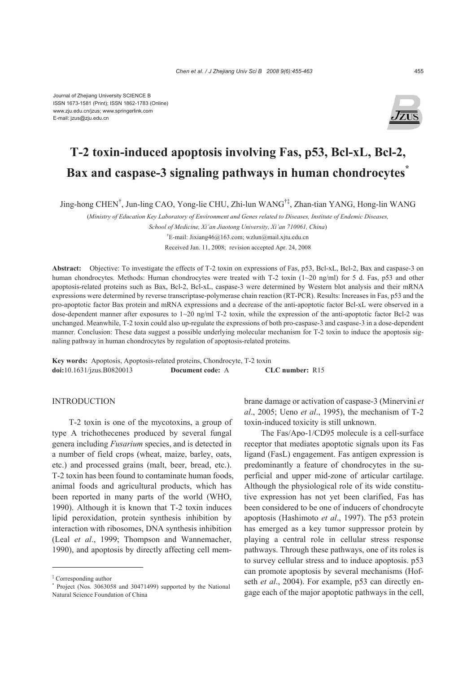Journal of Zhejiang University SCIENCE B ISSN 1673-1581 (Print); ISSN 1862-1783 (Online) www.zju.edu.cn/jzus; www.springerlink.com E-mail: jzus@zju.edu.cn



# **T-2 toxin-induced apoptosis involving Fas, p53, Bcl-xL, Bcl-2, Bax and caspase-3 signaling pathways in human chondrocytes\***

Jing-hong CHEN† , Jun-ling CAO, Yong-lie CHU, Zhi-lun WANG†‡, Zhan-tian YANG, Hong-lin WANG

(*Ministry of Education Key Laboratory of Environment and Genes related to Diseases, Institute of Endemic Diseases,* 

*School of Medicine, Xi'an Jiaotong University, Xi'an 710061, China*)

† E-mail: Jixiang46@163.com; wzlun@mail.xjtu.edu.cn

Received Jan. 11, 2008; revision accepted Apr. 24, 2008

**Abstract:** Objective: To investigate the effects of T-2 toxin on expressions of Fas, p53, Bcl-xL, Bcl-2, Bax and caspase-3 on human chondrocytes. Methods: Human chondrocytes were treated with T-2 toxin (1~20 ng/ml) for 5 d. Fas, p53 and other apoptosis-related proteins such as Bax, Bcl-2, Bcl-xL, caspase-3 were determined by Western blot analysis and their mRNA expressions were determined by reverse transcriptase-polymerase chain reaction (RT-PCR). Results: Increases in Fas, p53 and the pro-apoptotic factor Bax protein and mRNA expressions and a decrease of the anti-apoptotic factor Bcl-xL were observed in a dose-dependent manner after exposures to 1~20 ng/ml T-2 toxin, while the expression of the anti-apoptotic factor Bcl-2 was unchanged. Meanwhile, T-2 toxin could also up-regulate the expressions of both pro-caspase-3 and caspase-3 in a dose-dependent manner. Conclusion: These data suggest a possible underlying molecular mechanism for T-2 toxin to induce the apoptosis signaling pathway in human chondrocytes by regulation of apoptosis-related proteins.

**Key words:** Apoptosis, Apoptosis-related proteins, Chondrocyte, T-2 toxin **doi:**10.1631/jzus.B0820013 **Document code:** A **CLC number:** R15

# INTRODUCTION

T-2 toxin is one of the mycotoxins, a group of type A trichothecenes produced by several fungal genera including *Fusarium* species, and is detected in a number of field crops (wheat, maize, barley, oats, etc.) and processed grains (malt, beer, bread, etc.). T-2 toxin has been found to contaminate human foods, animal foods and agricultural products, which has been reported in many parts of the world (WHO, 1990). Although it is known that T-2 toxin induces lipid peroxidation, protein synthesis inhibition by interaction with ribosomes, DNA synthesis inhibition (Leal *et al*., 1999; Thompson and Wannemacher, 1990), and apoptosis by directly affecting cell membrane damage or activation of caspase-3 (Minervini *et al*., 2005; Ueno *et al*., 1995), the mechanism of T-2 toxin-induced toxicity is still unknown.

The Fas/Apo-1/CD95 molecule is a cell-surface receptor that mediates apoptotic signals upon its Fas ligand (FasL) engagement. Fas antigen expression is predominantly a feature of chondrocytes in the superficial and upper mid-zone of articular cartilage. Although the physiological role of its wide constitutive expression has not yet been clarified, Fas has been considered to be one of inducers of chondrocyte apoptosis (Hashimoto *et al*., 1997). The p53 protein has emerged as a key tumor suppressor protein by playing a central role in cellular stress response pathways. Through these pathways, one of its roles is to survey cellular stress and to induce apoptosis. p53 can promote apoptosis by several mechanisms (Hofseth *et al*., 2004). For example, p53 can directly engage each of the major apoptotic pathways in the cell,

<sup>‡</sup> Corresponding author

<sup>\*</sup> Project (Nos. 3063058 and 30471499) supported by the National Natural Science Foundation of China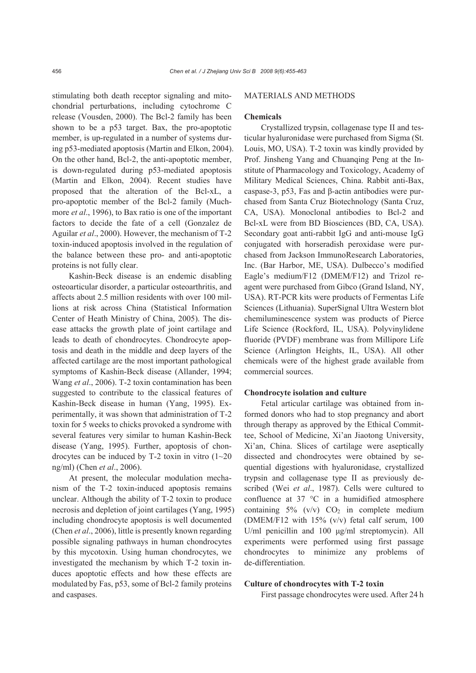stimulating both death receptor signaling and mitochondrial perturbations, including cytochrome C release (Vousden, 2000). The Bcl-2 family has been shown to be a p53 target. Bax, the pro-apoptotic member, is up-regulated in a number of systems during p53-mediated apoptosis (Martin and Elkon, 2004). On the other hand, Bcl-2, the anti-apoptotic member, is down-regulated during p53-mediated apoptosis (Martin and Elkon, 2004). Recent studies have proposed that the alteration of the Bcl-xL, a pro-apoptotic member of the Bcl-2 family (Muchmore *et al*., 1996), to Bax ratio is one of the important factors to decide the fate of a cell (Gonzalez de Aguilar *et al*., 2000). However, the mechanism of T-2 toxin-induced apoptosis involved in the regulation of the balance between these pro- and anti-apoptotic proteins is not fully clear.

Kashin-Beck disease is an endemic disabling osteoarticular disorder, a particular osteoarthritis, and affects about 2.5 million residents with over 100 millions at risk across China (Statistical Information Center of Heath Ministry of China, 2005). The disease attacks the growth plate of joint cartilage and leads to death of chondrocytes. Chondrocyte apoptosis and death in the middle and deep layers of the affected cartilage are the most important pathological symptoms of Kashin-Beck disease (Allander, 1994; Wang *et al*., 2006). T-2 toxin contamination has been suggested to contribute to the classical features of Kashin-Beck disease in human (Yang, 1995). Experimentally, it was shown that administration of T-2 toxin for 5 weeks to chicks provoked a syndrome with several features very similar to human Kashin-Beck disease (Yang, 1995). Further, apoptosis of chondrocytes can be induced by  $T-2$  toxin in vitro  $(1-20)$ ng/ml) (Chen *et al*., 2006).

At present, the molecular modulation mechanism of the T-2 toxin-induced apoptosis remains unclear. Although the ability of T-2 toxin to produce necrosis and depletion of joint cartilages (Yang, 1995) including chondrocyte apoptosis is well documented (Chen *et al*., 2006), little is presently known regarding possible signaling pathways in human chondrocytes by this mycotoxin. Using human chondrocytes, we investigated the mechanism by which T-2 toxin induces apoptotic effects and how these effects are modulated by Fas, p53, some of Bcl-2 family proteins and caspases.

## MATERIALS AND METHODS

#### **Chemicals**

Crystallized trypsin, collagenase type II and testicular hyaluronidase were purchased from Sigma (St. Louis, MO, USA). T-2 toxin was kindly provided by Prof. Jinsheng Yang and Chuanqing Peng at the Institute of Pharmacology and Toxicology, Academy of Military Medical Sciences, China. Rabbit anti-Bax, caspase-3, p53, Fas and β-actin antibodies were purchased from Santa Cruz Biotechnology (Santa Cruz, CA, USA). Monoclonal antibodies to Bcl-2 and Bcl-xL were from BD Biosciences (BD, CA, USA). Secondary goat anti-rabbit IgG and anti-mouse IgG conjugated with horseradish peroxidase were purchased from Jackson ImmunoResearch Laboratories, Inc. (Bar Harbor, ME, USA). Dulbecco's modified Eagle's medium/F12 (DMEM/F12) and Trizol reagent were purchased from Gibco (Grand Island, NY, USA). RT-PCR kits were products of Fermentas Life Sciences (Lithuania). SuperSignal Ultra Western blot chemiluminescence system was products of Pierce Life Science (Rockford, IL, USA). Polyvinylidene fluoride (PVDF) membrane was from Millipore Life Science (Arlington Heights, IL, USA). All other chemicals were of the highest grade available from commercial sources.

## **Chondrocyte isolation and culture**

Fetal articular cartilage was obtained from informed donors who had to stop pregnancy and abort through therapy as approved by the Ethical Committee, School of Medicine, Xi'an Jiaotong University, Xi'an, China. Slices of cartilage were aseptically dissected and chondrocytes were obtained by sequential digestions with hyaluronidase, crystallized trypsin and collagenase type II as previously described (Wei *et al*., 1987). Cells were cultured to confluence at 37 °C in a humidified atmosphere containing  $5\%$  (v/v)  $CO<sub>2</sub>$  in complete medium (DMEM/F12 with 15% (v/v) fetal calf serum, 100 U/ml penicillin and 100 μg/ml streptomycin). All experiments were performed using first passage chondrocytes to minimize any problems of de-differentiation.

# **Culture of chondrocytes with T-2 toxin**

First passage chondrocytes were used. After 24 h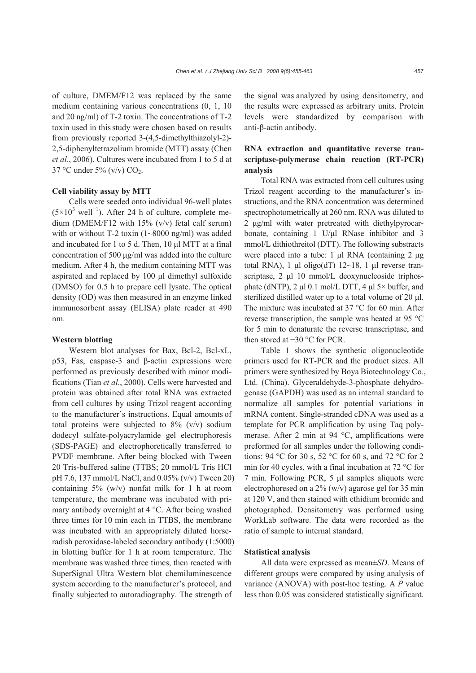of culture, DMEM/F12 was replaced by the same medium containing various concentrations (0, 1, 10 and 20 ng/ml) of T-2 toxin. The concentrations of T-2 toxin used in thisstudy were chosen based on results from previously reported 3-(4,5-dimethylthiazolyl-2)- 2,5-diphenyltetrazolium bromide (MTT) assay (Chen *et al*., 2006). Cultures were incubated from 1 to 5 d at 37 °C under 5% (v/v)  $CO<sub>2</sub>$ .

## **Cell viability assay by MTT**

Cells were seeded onto individual 96-well plates  $(5\times10^{3} \text{ well}^{-1})$ . After 24 h of culture, complete medium (DMEM/F12 with 15% (v/v) fetal calf serum) with or without T-2 toxin (1~8000 ng/ml) was added and incubated for 1 to 5 d. Then, 10 μl MTT at a final concentration of 500 μg/ml was added into the culture medium. After 4 h, the medium containing MTT was aspirated and replaced by 100 μl dimethyl sulfoxide (DMSO) for 0.5 h to prepare cell lysate. The optical density (OD) was then measured in an enzyme linked immunosorbent assay (ELISA) plate reader at 490 nm.

## **Western blotting**

Western blot analyses for Bax, Bcl-2, Bcl-xL, p53, Fas, caspase-3 and β-actin expressions were performed as previously described with minor modifications (Tian *et al*., 2000). Cells were harvested and protein was obtained after total RNA was extracted from cell cultures by using Trizol reagent according to the manufacturer's instructions. Equal amounts of total proteins were subjected to  $8\%$  (v/v) sodium dodecyl sulfate-polyacrylamide gel electrophoresis (SDS-PAGE) and electrophoretically transferred to PVDF membrane. After being blocked with Tween 20 Tris-buffered saline (TTBS; 20 mmol/L Tris HCl pH 7.6, 137 mmol/L NaCl, and 0.05% (v/v) Tween 20) containing  $5\%$  (w/v) nonfat milk for 1 h at room temperature, the membrane was incubated with primary antibody overnight at 4 °C. After being washed three times for 10 min each in TTBS, the membrane was incubated with an appropriately diluted horseradish peroxidase-labeled secondary antibody (1:5000) in blotting buffer for 1 h at room temperature. The membrane was washed three times, then reacted with SuperSignal Ultra Western blot chemiluminescence system according to the manufacturer's protocol, and finally subjected to autoradiography. The strength of

the signal was analyzed by using densitometry, and the results were expressed as arbitrary units. Protein levels were standardized by comparison with anti-β-actin antibody.

# **RNA extraction and quantitative reverse transcriptase-polymerase chain reaction (RT-PCR) analysis**

Total RNA was extracted from cell cultures using Trizol reagent according to the manufacturer's instructions, and the RNA concentration was determined spectrophotometrically at 260 nm. RNA was diluted to 2 μg/ml with water pretreated with diethylpyrocarbonate, containing 1 U/μl RNase inhibitor and 3 mmol/L dithiothreitol (DTT). The following substracts were placed into a tube: 1 μl RNA (containing 2 μg total RNA), 1 μl oligo(dT)  $12~18$ , 1 μl reverse transcriptase, 2 μl 10 mmol/L deoxynucleoside triphosphate (dNTP), 2 μl 0.1 mol/L DTT, 4 μl  $5\times$  buffer, and sterilized distilled water up to a total volume of 20 μl. The mixture was incubated at 37 °C for 60 min. After reverse transcription, the sample was heated at 95 °C for 5 min to denaturate the reverse transcriptase, and then stored at −30 °C for PCR.

Table 1 shows the synthetic oligonucleotide primers used for RT-PCR and the product sizes. All primers were synthesized by Boya Biotechnology Co., Ltd. (China). Glyceraldehyde-3-phosphate dehydrogenase (GAPDH) was used as an internal standard to normalize all samples for potential variations in mRNA content. Single-stranded cDNA was used as a template for PCR amplification by using Taq polymerase. After 2 min at 94 °C, amplifications were preformed for all samples under the following conditions: 94 °C for 30 s, 52 °C for 60 s, and 72 °C for 2 min for 40 cycles, with a final incubation at 72 °C for 7 min. Following PCR, 5 μl samples aliquots were electrophoresed on a 2% (w/v) agarose gel for 35 min at 120 V, and then stained with ethidium bromide and photographed. Densitometry was performed using WorkLab software. The data were recorded as the ratio of sample to internal standard.

#### **Statistical analysis**

All data were expressed as mean±*SD*. Means of different groups were compared by using analysis of variance (ANOVA) with post-hoc testing. A *P* value less than 0.05 was considered statistically significant.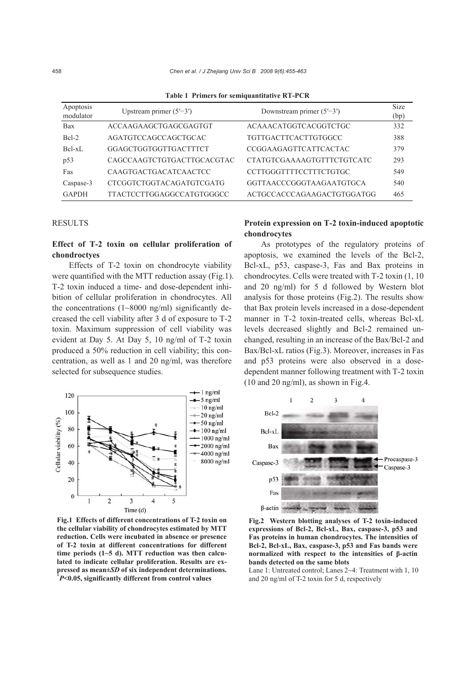| Apoptosis<br>modulator | Upstream primer $(5'–3')$    | Downstream primer $(5'–3')$   | <b>Size</b><br>(bp) |
|------------------------|------------------------------|-------------------------------|---------------------|
| <b>Bax</b>             | ACCAAGAAGCTGAGCGAGTGT        | <b>ACAAACATGGTCACGGTCTGC</b>  | 332                 |
| $Bcl-2$                | AGATGTCCAGCCAGCTGCAC         | <b>TGTTGACTTCACTTGTGGCC</b>   | 388                 |
| $Bcl-xL$               | GGAGCTGGTGGTTGACTTTCT        | CCGGAAGAGTTCATTCACTAC         | 379                 |
| p53                    | CAGCCAAGTCTGTGACTTGCACGTAC   | CTATGTCGAAAAGTGTTTCTGTCATC    | 293                 |
| Fas                    | <b>CAAGTGACTGACATCAACTCC</b> | <b>CCTTGGGTTTTCCTTTCTGTGC</b> | 549                 |
| Caspase-3              | CTCGGTCTGGTACAGATGTCGATG     | GGTTAACCCGGGTAAGAATGTGCA      | 540                 |
| <b>GAPDH</b>           | TTACTCCTTGGAGGCCATGTGGGCC    | ACTGCCACCCAGAAGACTGTGGATGG    | 465                 |

**Table 1 Primers for semiquantitative RT-PCR** 

## **RESULTS**

# **Effect of T-2 toxin on cellular proliferation of chondroctyes**

Effects of T-2 toxin on chondrocyte viability were quantified with the MTT reduction assay (Fig.1). T-2 toxin induced a time- and dose-dependent inhibition of cellular proliferation in chondrocytes. All the concentrations  $(1~8000~\text{ng/ml})$  significantly decreased the cell viability after 3 d of exposure to T-2 toxin. Maximum suppression of cell viability was evident at Day 5. At Day 5, 10 ng/ml of T-2 toxin produced a 50% reduction in cell viability; this concentration, as well as 1 and 20 ng/ml, was therefore selected for subsequence studies.



**Fig.1 Effects of different concentrations of T-2 toxin on the cellular viability of chondrocytes estimated by MTT reduction. Cells were incubated in absence or presence of T-2 toxin at different concentrations for different time periods (1~5 d). MTT reduction was then calculated to indicate cellular proliferation. Results are expressed as mean±***SD* **of six independent determinations. \*** *P***<0.05, significantly different from control values** 

# **Protein expression on T-2 toxin-induced apoptotic chondrocytes**

As prototypes of the regulatory proteins of apoptosis, we examined the levels of the Bcl-2, Bcl-xL, p53, caspase-3, Fas and Bax proteins in chondrocytes. Cells were treated with T-2 toxin (1, 10 and 20 ng/ml) for 5 d followed by Western blot analysis for those proteins (Fig.2). The results show that Bax protein levels increased in a dose-dependent manner in T-2 toxin-treated cells, whereas Bcl-xL levels decreased slightly and Bcl-2 remained unchanged, resulting in an increase of the Bax/Bcl-2 and Bax/Bcl-xL ratios (Fig.3). Moreover, increases in Fas and p53 proteins were also observed in a dosedependent manner following treatment with T-2 toxin (10 and 20 ng/ml), as shown in Fig.4.



**Fig.2 Western blotting analyses of T-2 toxin-induced expressions of Bcl-2, Bcl-xL, Bax, caspase-3, p53 and Fas proteins in human chondrocytes. The intensities of Bcl-2, Bcl-xL, Bax, caspase-3, p53 and Fas bands were normalized with respect to the intensities of β-actin bands detected on the same blots** 

Lane 1: Untreated control; Lanes 2~4: Treatment with 1, 10 and 20 ng/ml of T-2 toxin for 5 d, respectively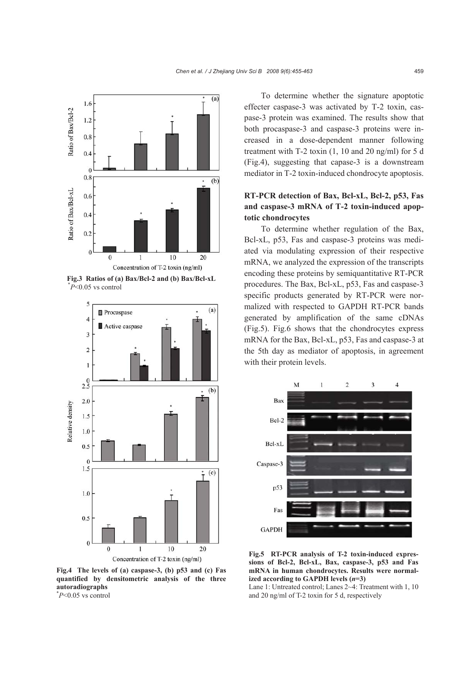

**Fig.3 Ratios of (a) Bax/Bcl-2 and (b) Bax/Bcl-xL**  \* *P*<0.05 vs control



**Fig.4 The levels of (a) caspase-3, (b) p53 and (c) Fas quantified by densitometric analysis of the three autoradiographs**  \* *P*<0.05 vs control

To determine whether the signature apoptotic effecter caspase-3 was activated by T-2 toxin, caspase-3 protein was examined. The results show that both procaspase-3 and caspase-3 proteins were increased in a dose-dependent manner following treatment with T-2 toxin (1, 10 and 20 ng/ml) for 5 d (Fig.4), suggesting that capase-3 is a downstream mediator in T-2 toxin-induced chondrocyte apoptosis.

# **RT-PCR detection of Bax, Bcl-xL, Bcl-2, p53, Fas and caspase-3 mRNA of T-2 toxin-induced apoptotic chondrocytes**

To determine whether regulation of the Bax, Bcl-xL, p53, Fas and caspase-3 proteins was mediated via modulating expression of their respective mRNA, we analyzed the expression of the transcripts encoding these proteins by semiquantitative RT-PCR procedures. The Bax, Bcl-xL, p53, Fas and caspase-3 specific products generated by RT-PCR were normalized with respected to GAPDH RT-PCR bands generated by amplification of the same cDNAs (Fig.5). Fig.6 shows that the chondrocytes express mRNA for the Bax, Bcl-xL, p53, Fas and caspase-3 at the 5th day as mediator of apoptosis, in agreement with their protein levels.



**Fig.5 RT-PCR analysis of T-2 toxin-induced expressions of Bcl-2, Bcl-xL, Bax, caspase-3, p53 and Fas mRNA in human chondrocytes. Results were normalized according to GAPDH levels (***n***=3)** 

Lane 1: Untreated control; Lanes 2~4: Treatment with 1, 10 and 20 ng/ml of T-2 toxin for 5 d, respectively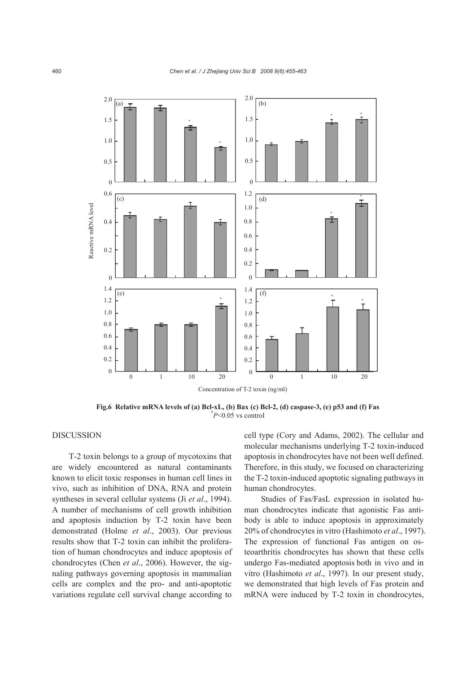

**Fig.6 Relative mRNA levels of (a) Bcl-xL, (b) Bax (c) Bcl-2, (d) caspase-3, (e) p53 and (f) Fas** \* *P*<0.05 vs control

# **DISCUSSION**

T-2 toxin belongs to a group of mycotoxins that are widely encountered as natural contaminants known to elicit toxic responses in human cell lines in vivo, such as inhibition of DNA, RNA and protein syntheses in several cellular systems (Ji *et al*., 1994). A number of mechanisms of cell growth inhibition and apoptosis induction by T-2 toxin have been demonstrated (Holme *et al*., 2003). Our previous results show that T-2 toxin can inhibit the proliferation of human chondrocytes and induce apoptosis of chondrocytes (Chen *et al*., 2006). However, the signaling pathways governing apoptosis in mammalian cells are complex and the pro- and anti-apoptotic variations regulate cell survival change according to

cell type (Cory and Adams, 2002). The cellular and molecular mechanisms underlying T-2 toxin-induced apoptosis in chondrocytes have not been well defined. Therefore, in this study, we focused on characterizing the T-2 toxin-induced apoptotic signaling pathways in human chondrocytes.

Studies of Fas/FasL expression in isolated human chondrocytes indicate that agonistic Fas antibody is able to induce apoptosis in approximately 20% of chondrocytes in vitro (Hashimoto *et al*., 1997). The expression of functional Fas antigen on osteoarthritis chondrocytes has shown that these cells undergo Fas-mediated apoptosis both in vivo and in vitro (Hashimoto *et al*., 1997)*.* In our present study, we demonstrated that high levels of Fas protein and mRNA were induced by T-2 toxin in chondrocytes,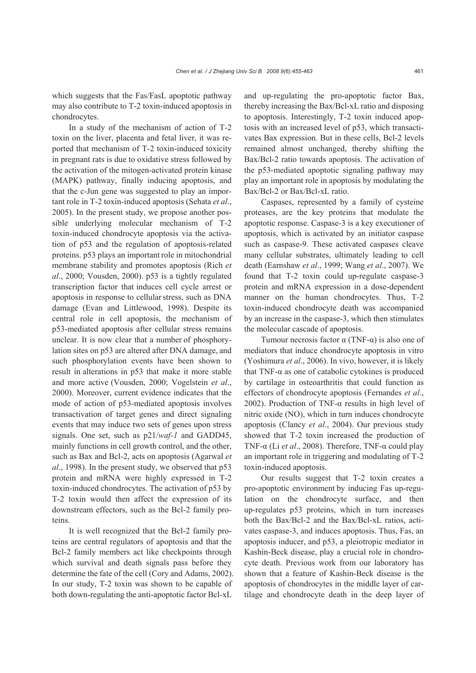which suggests that the Fas/FasL apoptotic pathway may also contribute to T-2 toxin-induced apoptosis in chondrocytes.

In a study of the mechanism of action of T-2 toxin on the liver, placenta and fetal liver, it was reported that mechanism of T-2 toxin-induced toxicity in pregnant rats is due to oxidative stress followed by the activation of the mitogen-activated protein kinase (MAPK) pathway, finally inducing apoptosis, and that the c-Jun gene was suggested to play an important role in T-2 toxin-induced apoptosis (Sehata *et al*., 2005). In the present study, we propose another possible underlying molecular mechanism of T-2 toxin-induced chondrocyte apoptosis via the activation of p53 and the regulation of apoptosis-related proteins. p53 plays an importantrole in mitochondrial membrane stability and promotes apoptosis (Rich *et al*., 2000; Vousden, 2000). p53 is a tightly regulated transcription factor that induces cell cycle arrest or apoptosis in response to cellularstress, such as DNA damage (Evan and Littlewood, 1998). Despite its central role in cell apoptosis, the mechanism of p53-mediated apoptosis after cellular stress remains unclear. It is now clear that a number of phosphorylation sites on p53 are altered after DNA damage, and such phosphorylation events have been shown to result in alterations in p53 that make it more stable and more active (Vousden, 2000; Vogelstein *et al*., 2000). Moreover, current evidence indicates that the mode of action of p53-mediated apoptosis involves transactivation of target genes and direct signaling events that may induce two sets of genes upon stress signals. One set, such as p21/*waf-1* and GADD45, mainly functions in cell growth control, and the other, such as Bax and Bcl-2, acts on apoptosis (Agarwal *et al*., 1998). In the present study, we observed that p53 protein and mRNA were highly expressed in T-2 toxin-induced chondrocytes. The activation of p53 by T-2 toxin would then affect the expression of its downstream effectors, such as the Bcl-2 family proteins.

It is well recognized that the Bcl-2 family proteins are central regulators of apoptosis and that the Bcl-2 family members act like checkpoints through which survival and death signals pass before they determine the fate of the cell (Cory and Adams, 2002). In our study, T-2 toxin was shown to be capable of both down-regulating the anti-apoptotic factor Bcl-xL

and up-regulating the pro-apoptotic factor Bax, thereby increasing the Bax/Bcl-xL ratio and disposing to apoptosis. Interestingly, T-2 toxin induced apoptosis with an increased level of p53, which transactivates Bax expression. But in these cells, Bcl-2 levels remained almost unchanged, thereby shifting the Bax/Bcl-2 ratio towards apoptosis. The activation of the p53-mediated apoptotic signaling pathway may play an important role in apoptosis by modulating the Bax/Bcl-2 or Bax/Bcl-xL ratio.

Caspases, represented by a family of cysteine proteases, are the key proteins that modulate the apoptotic response. Caspase-3 is a key executioner of apoptosis, which is activated by an initiator caspase such as caspase-9. These activated caspases cleave many cellular substrates, ultimately leading to cell death (Earnshaw *et al*., 1999; Wang *et al*., 2007). We found that T-2 toxin could up-regulate caspase-3 protein and mRNA expression in a dose-dependent manner on the human chondrocytes. Thus, T-2 toxin-induced chondrocyte death was accompanied by an increase in the caspase-3, which then stimulates the molecular cascade of apoptosis.

Tumour necrosis factor α (TNF-α) is also one of mediators that induce chondrocyte apoptosis in vitro (Yoshimura *et al*., 2006). In vivo, however, it is likely that TNF-α as one of catabolic cytokines is produced by cartilage in osteoarthritis that could function as effectors of chondrocyte apoptosis (Fernandes *et al*., 2002). Production of TNF-α results in high level of nitric oxide (NO), which in turn induces chondrocyte apoptosis (Clancy *et al*., 2004). Our previous study showed that T-2 toxin increased the production of TNF-α (Li *et al*., 2008). Therefore, TNF-α could play an important role in triggering and modulating of T-2 toxin-induced apoptosis.

Our results suggest that T-2 toxin creates a pro-apoptotic environment by inducing Fas up-regulation on the chondrocyte surface, and then up-regulates p53 proteins, which in turn increases both the Bax/Bcl-2 and the Bax/Bcl-xL ratios, activates caspase-3, and induces apoptosis. Thus, Fas, an apoptosis inducer, and p53, a pleiotropic mediator in Kashin-Beck disease, play a crucial role in chondrocyte death. Previous work from our laboratory has shown that a feature of Kashin-Beck disease is the apoptosis of chondrocytes in the middle layer of cartilage and chondrocyte death in the deep layer of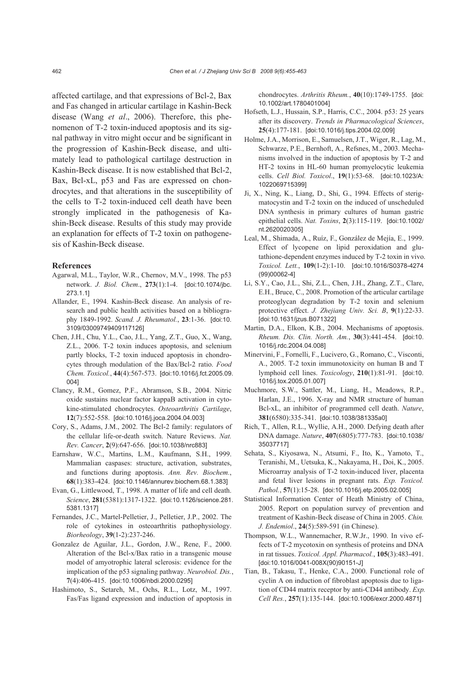affected cartilage, and that expressions of Bcl-2, Bax and Fas changed in articular cartilage in Kashin-Beck disease (Wang *et al*., 2006). Therefore, this phenomenon of T-2 toxin-induced apoptosis and its signal pathway in vitro might occur and be significant in the progression of Kashin-Beck disease, and ultimately lead to pathological cartilage destruction in Kashin-Beck disease. It is now established that Bcl-2, Bax, Bcl-xL, p53 and Fas are expressed on chondrocytes, and that alterations in the susceptibility of the cells to T-2 toxin-induced cell death have been strongly implicated in the pathogenesis of Kashin-Beck disease. Results of this study may provide an explanation for effects of T-2 toxin on pathogenesis of Kashin-Beck disease.

## **References**

- Agarwal, M.L., Taylor, W.R., Chernov, M.V., 1998. The p53 network. *J. Biol. Chem*., **273**(1):1-4. [doi:10.1074/jbc. 273.1.1]
- Allander, E., 1994. Kashin-Beck disease. An analysis of research and public health activities based on a bibliography 1849-1992. *Scand. J. Rheumatol.*, **23**:1-36. [doi:10. 3109/03009749409117126]
- Chen, J.H., Chu, Y.L., Cao, J.L., Yang, Z.T., Guo, X., Wang, Z.L., 2006. T-2 toxin induces apoptosis, and selenium partly blocks, T-2 toxin induced apoptosis in chondrocytes through modulation of the Bax/Bcl-2 ratio. *Food Chem. Toxicol.*, **44**(4):567-573. [doi:10.1016/j.fct.2005.09. 004]
- Clancy, R.M., Gomez, P.F., Abramson, S.B., 2004. Nitric oxide sustains nuclear factor kappaB activation in cytokine-stimulated chondrocytes. *Osteoarthritis Cartilage*, **12**(7):552-558. [doi:10.1016/j.joca.2004.04.003]
- Cory, S., Adams, J.M., 2002. The Bcl-2 family: regulators of the cellular life-or-death switch. Nature Reviews. *Nat. Rev. Cancer*, **2**(9):647-656. [doi:10.1038/nrc883]
- Earnshaw, W.C., Martins, L.M., Kaufmann, S.H., 1999. Mammalian caspases: structure, activation, substrates, and functions during apoptosis. *Ann. Rev. Biochem.*, **68**(1):383-424. [doi:10.1146/annurev.biochem.68.1.383]
- Evan, G., Littlewood, T., 1998. A matter of life and cell death. *Science*, **281**(5381):1317-1322. [doi:10.1126/science.281. 5381.1317]
- Fernandes, J.C., Martel-Pelletier, J., Pelletier, J.P., 2002. The role of cytokines in osteoarthritis pathophysiology. *Biorheology*, **39**(1-2):237-246.
- Gonzalez de Aguilar, J.L., Gordon, J.W., Rene, F., 2000. Alteration of the Bcl-x/Bax ratio in a transgenic mouse model of amyotrophic lateral sclerosis: evidence for the implication of the p53 signaling pathway. *Neurobiol. Dis.*, **7**(4):406-415. [doi:10.1006/nbdi.2000.0295]
- Hashimoto, S., Setareh, M., Ochs, R.L., Lotz, M., 1997. Fas/Fas ligand expression and induction of apoptosis in

chondrocytes. *Arthritis Rheum.*, **40**(10):1749-1755. [doi: 10.1002/art.1780401004]

- Hofseth, L.J., Hussain, S.P., Harris, C.C., 2004. p53: 25 years after its discovery. *Trends in Pharmacological Sciences*, **25**(4):177-181. [doi:10.1016/j.tips.2004.02.009]
- Holme, J.A., Morrison, E., Samuelsen, J.T., Wiger, R., Lag, M., Schwarze, P.E., Bernhoft, A., Refsnes, M., 2003. Mechanisms involved in the induction of apoptosis by T-2 and HT-2 toxins in HL-60 human promyelocytic leukemia cells. *Cell Biol. Toxicol*., **19**(1):53-68. [doi:10.1023/A: 1022069715399]
- Ji, X., Ning, K., Liang, D., Shi, G., 1994. Effects of sterigmatocystin and T-2 toxin on the induced of unscheduled DNA synthesis in primary cultures of human gastric epithelial cells. *Nat. Toxins*, **2**(3):115-119. [doi:10.1002/ nt.2620020305]
- Leal, M., Shimada, A., Ruíz, F., González de Mejía, E., 1999. Effect of lycopene on lipid peroxidation and glutathione-dependent enzymes induced by T-2 toxin in vivo. *Toxicol. Lett.*, **109**(1-2):1-10. [doi:10.1016/S0378-4274 (99)00062-4]
- Li, S.Y., Cao, J.L., Shi, Z.L., Chen, J.H., Zhang, Z.T., Clare, E.H., Bruce, C., 2008. Promotion of the articular cartilage proteoglycan degradation by T-2 toxin and selenium protective effect. *J. Zhejiang Univ. Sci. B*, **9**(1):22-33. [doi:10.1631/jzus.B071322]
- Martin, D.A., Elkon, K.B., 2004. Mechanisms of apoptosis. *Rheum. Dis. Clin. North. Am.*, **30**(3):441-454. [doi:10. 1016/j.rdc.2004.04.008]
- Minervini, F., Fornelli, F., Lucivero, G., Romano, C., Visconti, A., 2005. T-2 toxin immunotoxicity on human B and T lymphoid cell lines. *Toxicology*, **210**(1):81-91. [doi:10. 1016/j.tox.2005.01.007]
- Muchmore, S.W., Sattler, M., Liang, H., Meadows, R.P., Harlan, J.E., 1996. X-ray and NMR structure of human Bcl-xL, an inhibitor of programmed cell death. *Nature*, **381**(6580):335-341. [doi:10.1038/381335a0]
- Rich, T., Allen, R.L., Wyllie, A.H., 2000. Defying death after DNA damage. *Nature*, **407**(6805):777-783. [doi:10.1038/ 35037717]
- Sehata, S., Kiyosawa, N., Atsumi, F., Ito, K., Yamoto, T., Teranishi, M., Uetsuka, K., Nakayama, H., Doi, K., 2005. Microarray analysis of T-2 toxin-induced liver, placenta and fetal liver lesions in pregnant rats. *Exp. Toxicol. Pathol.*, **57**(1):15-28. [doi:10.1016/j.etp.2005.02.005]
- Statistical Information Center of Heath Ministry of China, 2005. Report on population survey of prevention and treatment of Kashin-Beck disease of China in 2005. *Chin. J. Endemiol*., **24**(5):589-591 (in Chinese).
- Thompson, W.L., Wannemacher, R.W.Jr., 1990. In vivo effects of T-2 mycotoxin on synthesis of proteins and DNA in rat tissues. *Toxicol. Appl. Pharmacol.*, **105**(3):483-491. [doi:10.1016/0041-008X(90)90151-J]
- Tian, B., Takasu, T., Henke, C.A., 2000. Functional role of cyclin A on induction of fibroblast apoptosis due to ligation of CD44 matrix receptor by anti-CD44 antibody. *Exp. Cell Res.*, **257**(1):135-144. [doi:10.1006/excr.2000.4871]